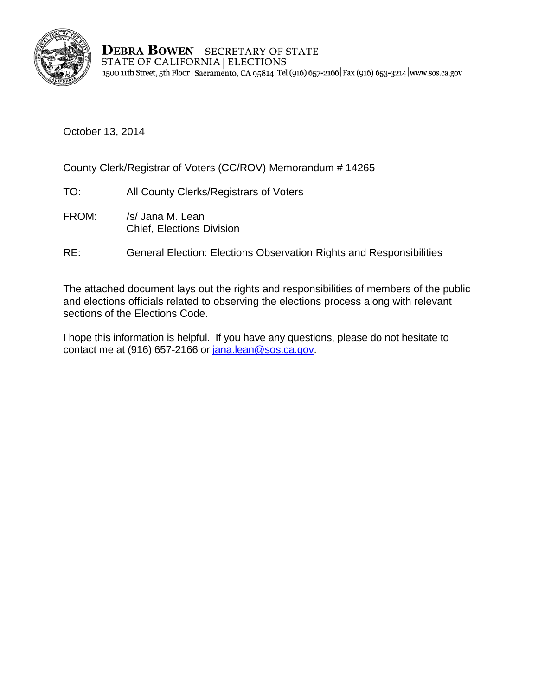

**DEBRA BOWEN | SECRETARY OF STATE** STATE OF CALIFORNIA | ELECTIONS 1500 11th Street, 5th Floor | Sacramento, CA 95814 | Tel (916) 657-2166 | Fax (916) 653-3214 | www.sos.ca.gov

October 13, 2014

County Clerk/Registrar of Voters (CC/ROV) Memorandum # 14265

- TO: All County Clerks/Registrars of Voters
- FROM: /s/ Jana M. Lean Chief, Elections Division
- RE: General Election: Elections Observation Rights and Responsibilities

The attached document lays out the rights and responsibilities of members of the public and elections officials related to observing the elections process along with relevant sections of the Elections Code.

I hope this information is helpful. If you have any questions, please do not hesitate to contact me at (916) 657-2166 or [jana.lean@sos.ca.gov.](mailto:jana.lean@sos.ca.gov)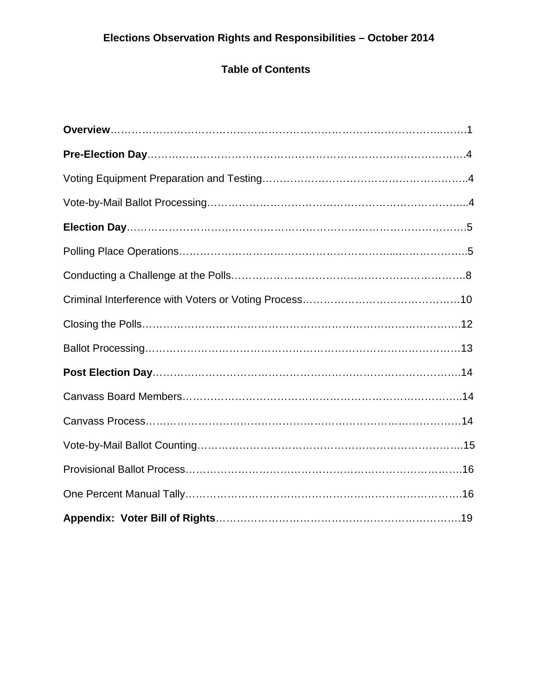# **Table of Contents**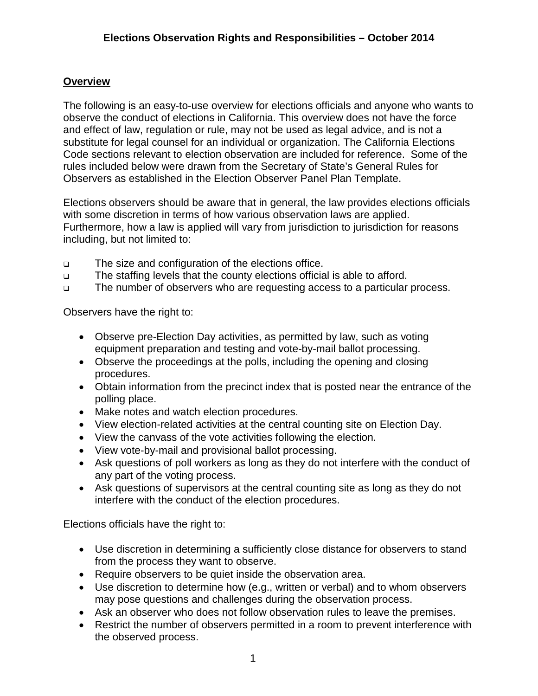# **Overview**

The following is an easy-to-use overview for elections officials and anyone who wants to observe the conduct of elections in California. This overview does not have the force and effect of law, regulation or rule, may not be used as legal advice, and is not a substitute for legal counsel for an individual or organization. The California Elections Code sections relevant to election observation are included for reference. Some of the rules included below were drawn from the Secretary of State's General Rules for Observers as established in the Election Observer Panel Plan Template.

Elections observers should be aware that in general, the law provides elections officials with some discretion in terms of how various observation laws are applied. Furthermore, how a law is applied will vary from jurisdiction to jurisdiction for reasons including, but not limited to:

- The size and configuration of the elections office.
- □ The staffing levels that the county elections official is able to afford.
- The number of observers who are requesting access to a particular process.

Observers have the right to:

- Observe pre-Election Day activities, as permitted by law, such as voting equipment preparation and testing and vote-by-mail ballot processing.
- Observe the proceedings at the polls, including the opening and closing procedures.
- Obtain information from the precinct index that is posted near the entrance of the polling place.
- Make notes and watch election procedures.
- View election-related activities at the central counting site on Election Day.
- View the canvass of the vote activities following the election.
- View vote-by-mail and provisional ballot processing.
- Ask questions of poll workers as long as they do not interfere with the conduct of any part of the voting process.
- Ask questions of supervisors at the central counting site as long as they do not interfere with the conduct of the election procedures.

Elections officials have the right to:

- Use discretion in determining a sufficiently close distance for observers to stand from the process they want to observe.
- Require observers to be quiet inside the observation area.
- Use discretion to determine how (e.g., written or verbal) and to whom observers may pose questions and challenges during the observation process.
- Ask an observer who does not follow observation rules to leave the premises.
- Restrict the number of observers permitted in a room to prevent interference with the observed process.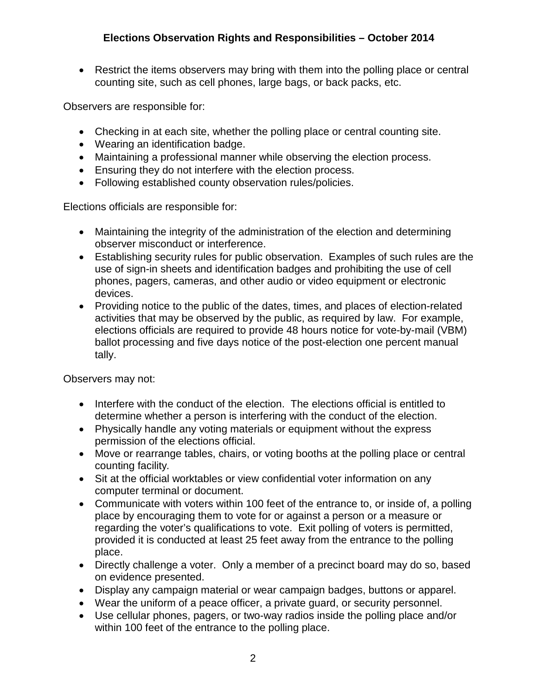• Restrict the items observers may bring with them into the polling place or central counting site, such as cell phones, large bags, or back packs, etc.

Observers are responsible for:

- Checking in at each site, whether the polling place or central counting site.
- Wearing an identification badge.
- Maintaining a professional manner while observing the election process.
- Ensuring they do not interfere with the election process.
- Following established county observation rules/policies.

Elections officials are responsible for:

- Maintaining the integrity of the administration of the election and determining observer misconduct or interference.
- Establishing security rules for public observation. Examples of such rules are the use of sign-in sheets and identification badges and prohibiting the use of cell phones, pagers, cameras, and other audio or video equipment or electronic devices.
- Providing notice to the public of the dates, times, and places of election-related activities that may be observed by the public, as required by law. For example, elections officials are required to provide 48 hours notice for vote-by-mail (VBM) ballot processing and five days notice of the post-election one percent manual tally.

Observers may not:

- Interfere with the conduct of the election. The elections official is entitled to determine whether a person is interfering with the conduct of the election.
- Physically handle any voting materials or equipment without the express permission of the elections official.
- Move or rearrange tables, chairs, or voting booths at the polling place or central counting facility*.*
- Sit at the official worktables or view confidential voter information on any computer terminal or document.
- Communicate with voters within 100 feet of the entrance to, or inside of, a polling place by encouraging them to vote for or against a person or a measure or regarding the voter's qualifications to vote. Exit polling of voters is permitted, provided it is conducted at least 25 feet away from the entrance to the polling place.
- Directly challenge a voter. Only a member of a precinct board may do so, based on evidence presented.
- Display any campaign material or wear campaign badges, buttons or apparel.
- Wear the uniform of a peace officer, a private guard, or security personnel.
- Use cellular phones, pagers, or two-way radios inside the polling place and/or within 100 feet of the entrance to the polling place.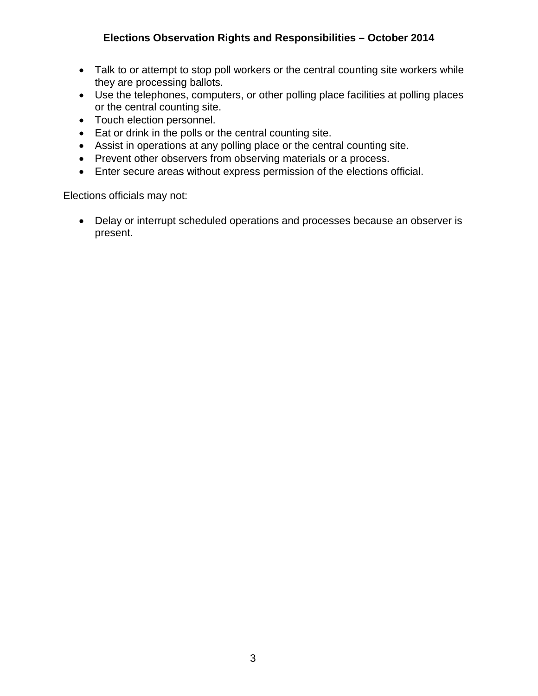- Talk to or attempt to stop poll workers or the central counting site workers while they are processing ballots.
- Use the telephones, computers, or other polling place facilities at polling places or the central counting site.
- Touch election personnel.
- Eat or drink in the polls or the central counting site.
- Assist in operations at any polling place or the central counting site.
- Prevent other observers from observing materials or a process.
- Enter secure areas without express permission of the elections official.

Elections officials may not:

• Delay or interrupt scheduled operations and processes because an observer is present.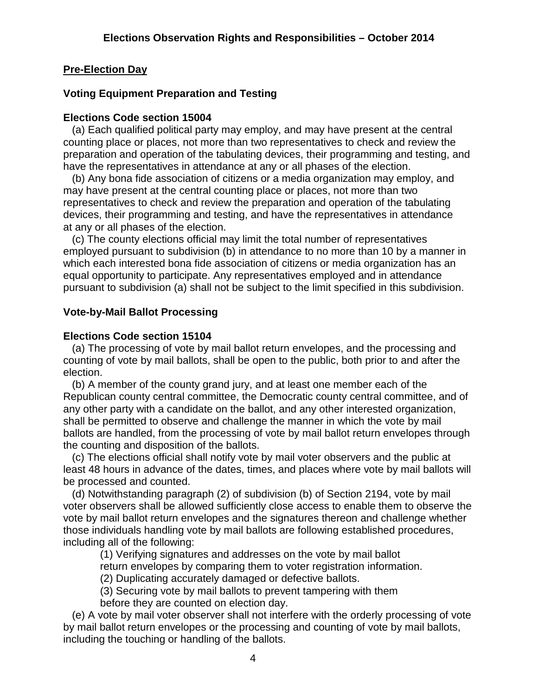# **Pre-Election Day**

# **Voting Equipment Preparation and Testing**

# **Elections Code section 15004**

 (a) Each qualified political party may employ, and may have present at the central counting place or places, not more than two representatives to check and review the preparation and operation of the tabulating devices, their programming and testing, and have the representatives in attendance at any or all phases of the election.

 (b) Any bona fide association of citizens or a media organization may employ, and may have present at the central counting place or places, not more than two representatives to check and review the preparation and operation of the tabulating devices, their programming and testing, and have the representatives in attendance at any or all phases of the election.

 (c) The county elections official may limit the total number of representatives employed pursuant to subdivision (b) in attendance to no more than 10 by a manner in which each interested bona fide association of citizens or media organization has an equal opportunity to participate. Any representatives employed and in attendance pursuant to subdivision (a) shall not be subject to the limit specified in this subdivision.

# **Vote-by-Mail Ballot Processing**

# **Elections Code section 15104**

 (a) The processing of vote by mail ballot return envelopes, and the processing and counting of vote by mail ballots, shall be open to the public, both prior to and after the election.

 (b) A member of the county grand jury, and at least one member each of the Republican county central committee, the Democratic county central committee, and of any other party with a candidate on the ballot, and any other interested organization, shall be permitted to observe and challenge the manner in which the vote by mail ballots are handled, from the processing of vote by mail ballot return envelopes through the counting and disposition of the ballots.

 (c) The elections official shall notify vote by mail voter observers and the public at least 48 hours in advance of the dates, times, and places where vote by mail ballots will be processed and counted.

 (d) Notwithstanding paragraph (2) of subdivision (b) of Section 2194, vote by mail voter observers shall be allowed sufficiently close access to enable them to observe the vote by mail ballot return envelopes and the signatures thereon and challenge whether those individuals handling vote by mail ballots are following established procedures, including all of the following:

(1) Verifying signatures and addresses on the vote by mail ballot

return envelopes by comparing them to voter registration information.

(2) Duplicating accurately damaged or defective ballots.

 (3) Securing vote by mail ballots to prevent tampering with them before they are counted on election day.

 (e) A vote by mail voter observer shall not interfere with the orderly processing of vote by mail ballot return envelopes or the processing and counting of vote by mail ballots, including the touching or handling of the ballots.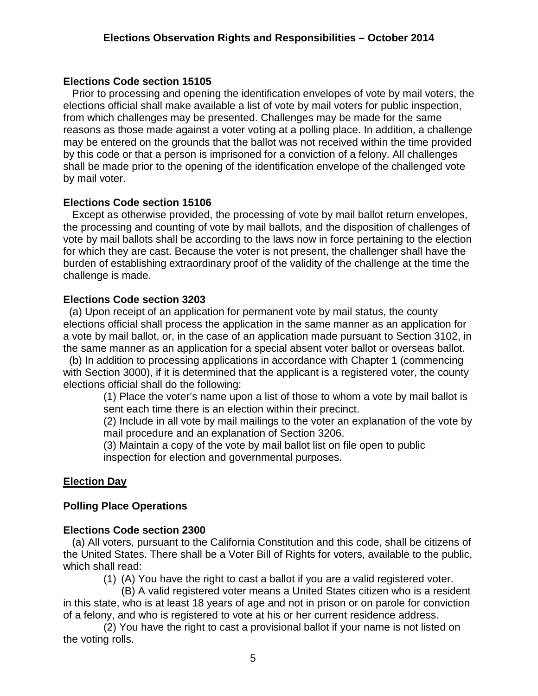# **Elections Code section 15105**

 Prior to processing and opening the identification envelopes of vote by mail voters, the elections official shall make available a list of vote by mail voters for public inspection, from which challenges may be presented. Challenges may be made for the same reasons as those made against a voter voting at a polling place. In addition, a challenge may be entered on the grounds that the ballot was not received within the time provided by this code or that a person is imprisoned for a conviction of a felony. All challenges shall be made prior to the opening of the identification envelope of the challenged vote by mail voter.

# **Elections Code section 15106**

 Except as otherwise provided, the processing of vote by mail ballot return envelopes, the processing and counting of vote by mail ballots, and the disposition of challenges of vote by mail ballots shall be according to the laws now in force pertaining to the election for which they are cast. Because the voter is not present, the challenger shall have the burden of establishing extraordinary proof of the validity of the challenge at the time the challenge is made.

# **Elections Code section 3203**

 (a) Upon receipt of an application for permanent vote by mail status, the county elections official shall process the application in the same manner as an application for a vote by mail ballot, or, in the case of an application made pursuant to Section 3102, in the same manner as an application for a special absent voter ballot or overseas ballot.

 (b) In addition to processing applications in accordance with Chapter 1 (commencing with Section 3000), if it is determined that the applicant is a registered voter, the county elections official shall do the following:

(1) Place the voter's name upon a list of those to whom a vote by mail ballot is sent each time there is an election within their precinct.

(2) Include in all vote by mail mailings to the voter an explanation of the vote by mail procedure and an explanation of Section 3206.

(3) Maintain a copy of the vote by mail ballot list on file open to public inspection for election and governmental purposes.

# **Election Day**

# **Polling Place Operations**

# **Elections Code section 2300**

 (a) All voters, pursuant to the California Constitution and this code, shall be citizens of the United States. There shall be a Voter Bill of Rights for voters, available to the public, which shall read:

(1) (A) You have the right to cast a ballot if you are a valid registered voter.

 (B) A valid registered voter means a United States citizen who is a resident in this state, who is at least 18 years of age and not in prison or on parole for conviction of a felony, and who is registered to vote at his or her current residence address.

 (2) You have the right to cast a provisional ballot if your name is not listed on the voting rolls.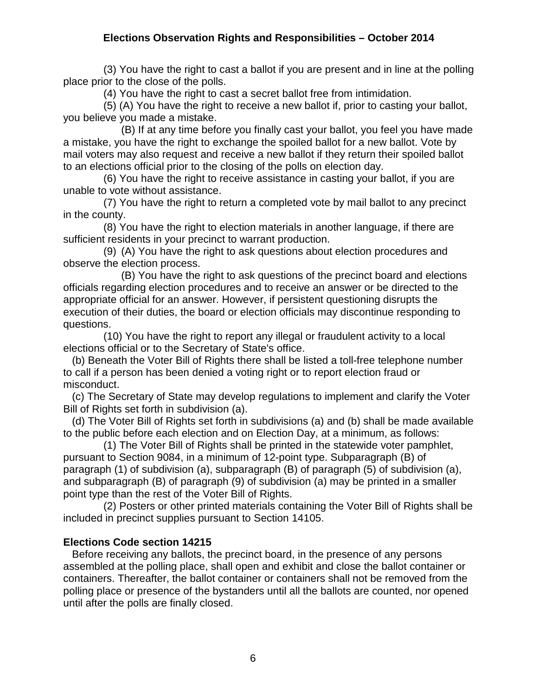(3) You have the right to cast a ballot if you are present and in line at the polling place prior to the close of the polls.

(4) You have the right to cast a secret ballot free from intimidation.

 (5) (A) You have the right to receive a new ballot if, prior to casting your ballot, you believe you made a mistake.

 (B) If at any time before you finally cast your ballot, you feel you have made a mistake, you have the right to exchange the spoiled ballot for a new ballot. Vote by mail voters may also request and receive a new ballot if they return their spoiled ballot to an elections official prior to the closing of the polls on election day.

 (6) You have the right to receive assistance in casting your ballot, if you are unable to vote without assistance.

 (7) You have the right to return a completed vote by mail ballot to any precinct in the county.

 (8) You have the right to election materials in another language, if there are sufficient residents in your precinct to warrant production.

 (9) (A) You have the right to ask questions about election procedures and observe the election process.

 (B) You have the right to ask questions of the precinct board and elections officials regarding election procedures and to receive an answer or be directed to the appropriate official for an answer. However, if persistent questioning disrupts the execution of their duties, the board or election officials may discontinue responding to questions.

 (10) You have the right to report any illegal or fraudulent activity to a local elections official or to the Secretary of State's office.

 (b) Beneath the Voter Bill of Rights there shall be listed a toll-free telephone number to call if a person has been denied a voting right or to report election fraud or misconduct.

 (c) The Secretary of State may develop regulations to implement and clarify the Voter Bill of Rights set forth in subdivision (a).

 (d) The Voter Bill of Rights set forth in subdivisions (a) and (b) shall be made available to the public before each election and on Election Day, at a minimum, as follows:

 (1) The Voter Bill of Rights shall be printed in the statewide voter pamphlet, pursuant to Section 9084, in a minimum of 12-point type. Subparagraph (B) of paragraph (1) of subdivision (a), subparagraph (B) of paragraph (5) of subdivision (a), and subparagraph (B) of paragraph (9) of subdivision (a) may be printed in a smaller point type than the rest of the Voter Bill of Rights.

 (2) Posters or other printed materials containing the Voter Bill of Rights shall be included in precinct supplies pursuant to Section 14105.

# **Elections Code section 14215**

 Before receiving any ballots, the precinct board, in the presence of any persons assembled at the polling place, shall open and exhibit and close the ballot container or containers. Thereafter, the ballot container or containers shall not be removed from the polling place or presence of the bystanders until all the ballots are counted, nor opened until after the polls are finally closed.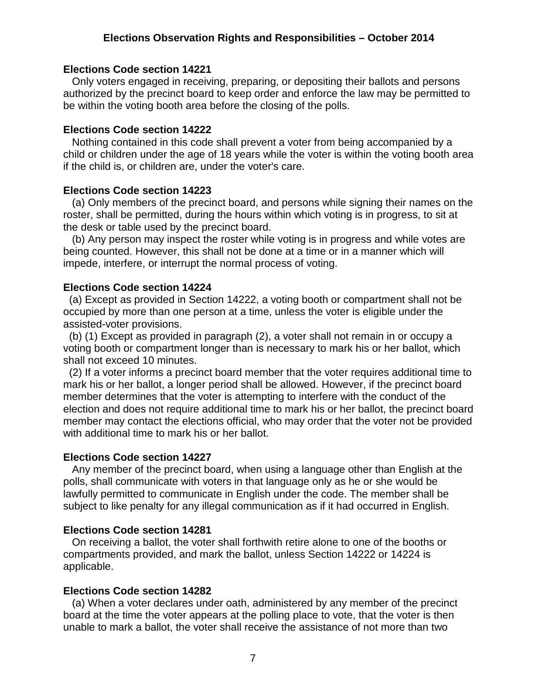#### **Elections Code section 14221**

 Only voters engaged in receiving, preparing, or depositing their ballots and persons authorized by the precinct board to keep order and enforce the law may be permitted to be within the voting booth area before the closing of the polls.

#### **Elections Code section 14222**

 Nothing contained in this code shall prevent a voter from being accompanied by a child or children under the age of 18 years while the voter is within the voting booth area if the child is, or children are, under the voter's care.

#### **Elections Code section 14223**

 (a) Only members of the precinct board, and persons while signing their names on the roster, shall be permitted, during the hours within which voting is in progress, to sit at the desk or table used by the precinct board.

 (b) Any person may inspect the roster while voting is in progress and while votes are being counted. However, this shall not be done at a time or in a manner which will impede, interfere, or interrupt the normal process of voting.

#### **Elections Code section 14224**

 (a) Except as provided in Section 14222, a voting booth or compartment shall not be occupied by more than one person at a time, unless the voter is eligible under the assisted-voter provisions.

 (b) (1) Except as provided in paragraph (2), a voter shall not remain in or occupy a voting booth or compartment longer than is necessary to mark his or her ballot, which shall not exceed 10 minutes.

 (2) If a voter informs a precinct board member that the voter requires additional time to mark his or her ballot, a longer period shall be allowed. However, if the precinct board member determines that the voter is attempting to interfere with the conduct of the election and does not require additional time to mark his or her ballot, the precinct board member may contact the elections official, who may order that the voter not be provided with additional time to mark his or her ballot.

#### **Elections Code section 14227**

 Any member of the precinct board, when using a language other than English at the polls, shall communicate with voters in that language only as he or she would be lawfully permitted to communicate in English under the code. The member shall be subject to like penalty for any illegal communication as if it had occurred in English.

#### **Elections Code section 14281**

 On receiving a ballot, the voter shall forthwith retire alone to one of the booths or compartments provided, and mark the ballot, unless Section 14222 or 14224 is applicable.

#### **Elections Code section 14282**

 (a) When a voter declares under oath, administered by any member of the precinct board at the time the voter appears at the polling place to vote, that the voter is then unable to mark a ballot, the voter shall receive the assistance of not more than two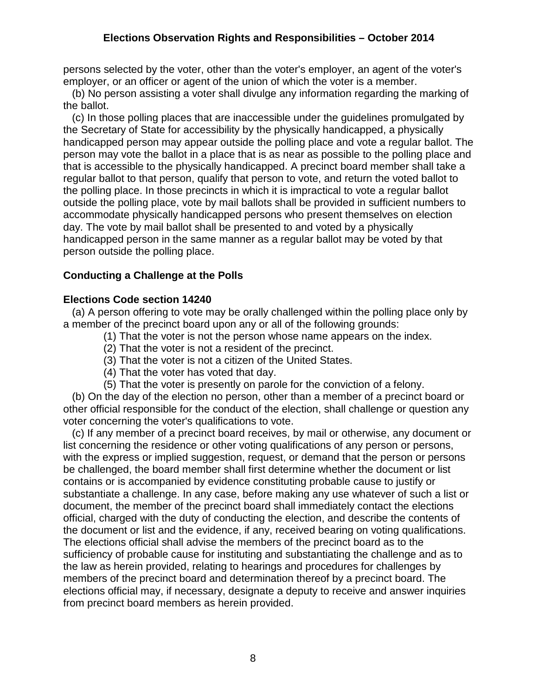persons selected by the voter, other than the voter's employer, an agent of the voter's employer, or an officer or agent of the union of which the voter is a member.

 (b) No person assisting a voter shall divulge any information regarding the marking of the ballot.

 (c) In those polling places that are inaccessible under the guidelines promulgated by the Secretary of State for accessibility by the physically handicapped, a physically handicapped person may appear outside the polling place and vote a regular ballot. The person may vote the ballot in a place that is as near as possible to the polling place and that is accessible to the physically handicapped. A precinct board member shall take a regular ballot to that person, qualify that person to vote, and return the voted ballot to the polling place. In those precincts in which it is impractical to vote a regular ballot outside the polling place, vote by mail ballots shall be provided in sufficient numbers to accommodate physically handicapped persons who present themselves on election day. The vote by mail ballot shall be presented to and voted by a physically handicapped person in the same manner as a regular ballot may be voted by that person outside the polling place.

# **Conducting a Challenge at the Polls**

# **Elections Code section 14240**

 (a) A person offering to vote may be orally challenged within the polling place only by a member of the precinct board upon any or all of the following grounds:

- (1) That the voter is not the person whose name appears on the index.
- (2) That the voter is not a resident of the precinct.
- (3) That the voter is not a citizen of the United States.
- (4) That the voter has voted that day.
- (5) That the voter is presently on parole for the conviction of a felony.

 (b) On the day of the election no person, other than a member of a precinct board or other official responsible for the conduct of the election, shall challenge or question any voter concerning the voter's qualifications to vote.

 (c) If any member of a precinct board receives, by mail or otherwise, any document or list concerning the residence or other voting qualifications of any person or persons, with the express or implied suggestion, request, or demand that the person or persons be challenged, the board member shall first determine whether the document or list contains or is accompanied by evidence constituting probable cause to justify or substantiate a challenge. In any case, before making any use whatever of such a list or document, the member of the precinct board shall immediately contact the elections official, charged with the duty of conducting the election, and describe the contents of the document or list and the evidence, if any, received bearing on voting qualifications. The elections official shall advise the members of the precinct board as to the sufficiency of probable cause for instituting and substantiating the challenge and as to the law as herein provided, relating to hearings and procedures for challenges by members of the precinct board and determination thereof by a precinct board. The elections official may, if necessary, designate a deputy to receive and answer inquiries from precinct board members as herein provided.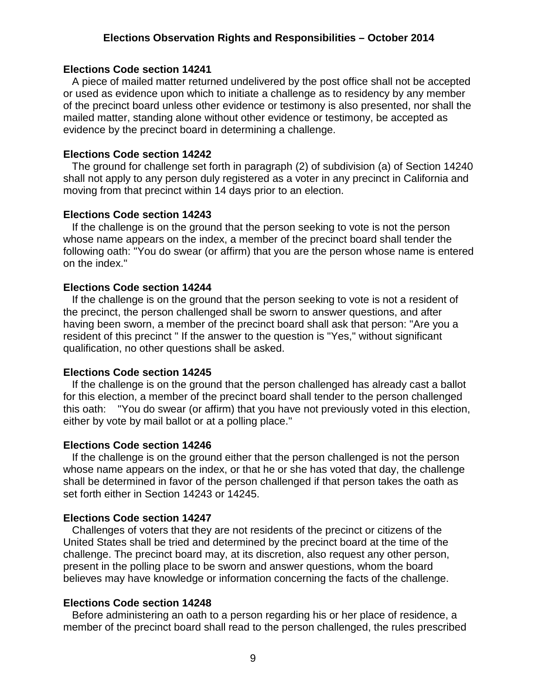#### **Elections Code section 14241**

 A piece of mailed matter returned undelivered by the post office shall not be accepted or used as evidence upon which to initiate a challenge as to residency by any member of the precinct board unless other evidence or testimony is also presented, nor shall the mailed matter, standing alone without other evidence or testimony, be accepted as evidence by the precinct board in determining a challenge.

#### **Elections Code section 14242**

 The ground for challenge set forth in paragraph (2) of subdivision (a) of Section 14240 shall not apply to any person duly registered as a voter in any precinct in California and moving from that precinct within 14 days prior to an election.

#### **Elections Code section 14243**

 If the challenge is on the ground that the person seeking to vote is not the person whose name appears on the index, a member of the precinct board shall tender the following oath: "You do swear (or affirm) that you are the person whose name is entered on the index."

#### **Elections Code section 14244**

 If the challenge is on the ground that the person seeking to vote is not a resident of the precinct, the person challenged shall be sworn to answer questions, and after having been sworn, a member of the precinct board shall ask that person: "Are you a resident of this precinct " If the answer to the question is "Yes," without significant qualification, no other questions shall be asked.

#### **Elections Code section 14245**

 If the challenge is on the ground that the person challenged has already cast a ballot for this election, a member of the precinct board shall tender to the person challenged this oath: "You do swear (or affirm) that you have not previously voted in this election, either by vote by mail ballot or at a polling place."

#### **Elections Code section 14246**

 If the challenge is on the ground either that the person challenged is not the person whose name appears on the index, or that he or she has voted that day, the challenge shall be determined in favor of the person challenged if that person takes the oath as set forth either in Section 14243 or 14245.

#### **Elections Code section 14247**

 Challenges of voters that they are not residents of the precinct or citizens of the United States shall be tried and determined by the precinct board at the time of the challenge. The precinct board may, at its discretion, also request any other person, present in the polling place to be sworn and answer questions, whom the board believes may have knowledge or information concerning the facts of the challenge.

#### **Elections Code section 14248**

 Before administering an oath to a person regarding his or her place of residence, a member of the precinct board shall read to the person challenged, the rules prescribed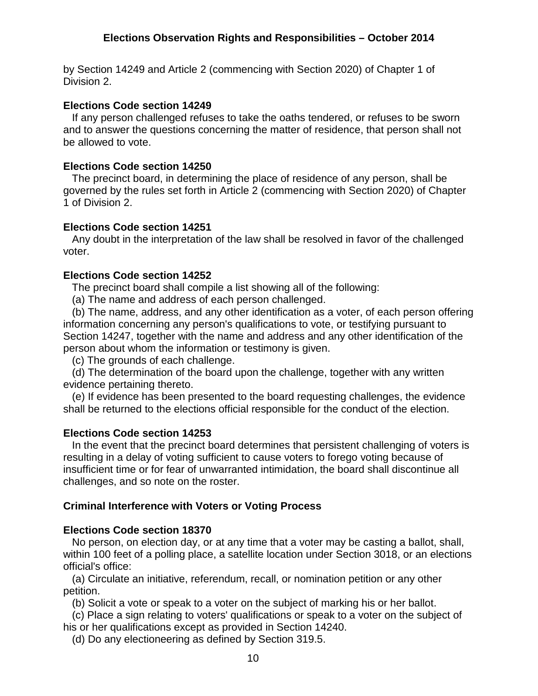by Section 14249 and Article 2 (commencing with Section 2020) of Chapter 1 of Division 2.

### **Elections Code section 14249**

 If any person challenged refuses to take the oaths tendered, or refuses to be sworn and to answer the questions concerning the matter of residence, that person shall not be allowed to vote.

# **Elections Code section 14250**

 The precinct board, in determining the place of residence of any person, shall be governed by the rules set forth in Article 2 (commencing with Section 2020) of Chapter 1 of Division 2.

# **Elections Code section 14251**

 Any doubt in the interpretation of the law shall be resolved in favor of the challenged voter.

# **Elections Code section 14252**

The precinct board shall compile a list showing all of the following:

(a) The name and address of each person challenged.

 (b) The name, address, and any other identification as a voter, of each person offering information concerning any person's qualifications to vote, or testifying pursuant to Section 14247, together with the name and address and any other identification of the person about whom the information or testimony is given.

(c) The grounds of each challenge.

 (d) The determination of the board upon the challenge, together with any written evidence pertaining thereto.

 (e) If evidence has been presented to the board requesting challenges, the evidence shall be returned to the elections official responsible for the conduct of the election.

### **Elections Code section 14253**

 In the event that the precinct board determines that persistent challenging of voters is resulting in a delay of voting sufficient to cause voters to forego voting because of insufficient time or for fear of unwarranted intimidation, the board shall discontinue all challenges, and so note on the roster.

# **Criminal Interference with Voters or Voting Process**

### **Elections Code section 18370**

 No person, on election day, or at any time that a voter may be casting a ballot, shall, within 100 feet of a polling place, a satellite location under Section 3018, or an elections official's office:

 (a) Circulate an initiative, referendum, recall, or nomination petition or any other petition.

(b) Solicit a vote or speak to a voter on the subject of marking his or her ballot.

 (c) Place a sign relating to voters' qualifications or speak to a voter on the subject of his or her qualifications except as provided in Section 14240.

(d) Do any electioneering as defined by Section 319.5.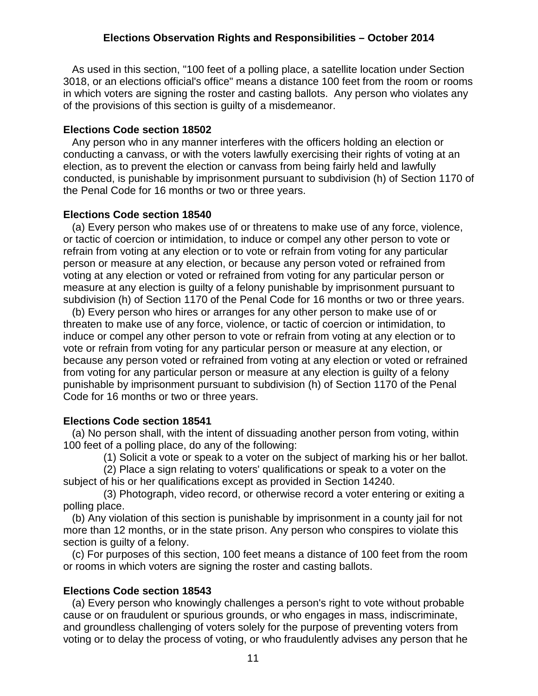As used in this section, "100 feet of a polling place, a satellite location under Section 3018, or an elections official's office" means a distance 100 feet from the room or rooms in which voters are signing the roster and casting ballots. Any person who violates any of the provisions of this section is guilty of a misdemeanor.

### **Elections Code section 18502**

 Any person who in any manner interferes with the officers holding an election or conducting a canvass, or with the voters lawfully exercising their rights of voting at an election, as to prevent the election or canvass from being fairly held and lawfully conducted, is punishable by imprisonment pursuant to subdivision (h) of Section 1170 of the Penal Code for 16 months or two or three years.

# **Elections Code section 18540**

 (a) Every person who makes use of or threatens to make use of any force, violence, or tactic of coercion or intimidation, to induce or compel any other person to vote or refrain from voting at any election or to vote or refrain from voting for any particular person or measure at any election, or because any person voted or refrained from voting at any election or voted or refrained from voting for any particular person or measure at any election is guilty of a felony punishable by imprisonment pursuant to subdivision (h) of Section 1170 of the Penal Code for 16 months or two or three years.

 (b) Every person who hires or arranges for any other person to make use of or threaten to make use of any force, violence, or tactic of coercion or intimidation, to induce or compel any other person to vote or refrain from voting at any election or to vote or refrain from voting for any particular person or measure at any election, or because any person voted or refrained from voting at any election or voted or refrained from voting for any particular person or measure at any election is guilty of a felony punishable by imprisonment pursuant to subdivision (h) of Section 1170 of the Penal Code for 16 months or two or three years.

# **Elections Code section 18541**

 (a) No person shall, with the intent of dissuading another person from voting, within 100 feet of a polling place, do any of the following:

(1) Solicit a vote or speak to a voter on the subject of marking his or her ballot.

 (2) Place a sign relating to voters' qualifications or speak to a voter on the subject of his or her qualifications except as provided in Section 14240.

 (3) Photograph, video record, or otherwise record a voter entering or exiting a polling place.

 (b) Any violation of this section is punishable by imprisonment in a county jail for not more than 12 months, or in the state prison. Any person who conspires to violate this section is guilty of a felony.

 (c) For purposes of this section, 100 feet means a distance of 100 feet from the room or rooms in which voters are signing the roster and casting ballots.

# **Elections Code section 18543**

 (a) Every person who knowingly challenges a person's right to vote without probable cause or on fraudulent or spurious grounds, or who engages in mass, indiscriminate, and groundless challenging of voters solely for the purpose of preventing voters from voting or to delay the process of voting, or who fraudulently advises any person that he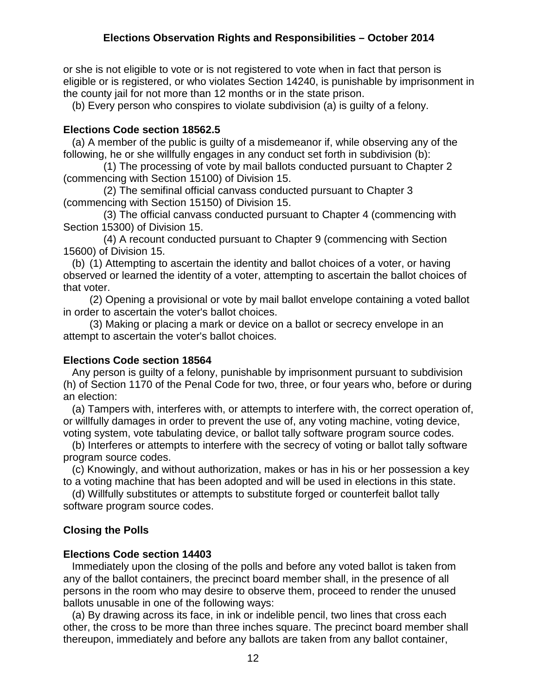or she is not eligible to vote or is not registered to vote when in fact that person is eligible or is registered, or who violates Section 14240, is punishable by imprisonment in the county jail for not more than 12 months or in the state prison.

(b) Every person who conspires to violate subdivision (a) is guilty of a felony.

# **Elections Code section 18562.5**

 (a) A member of the public is guilty of a misdemeanor if, while observing any of the following, he or she willfully engages in any conduct set forth in subdivision (b):

 (1) The processing of vote by mail ballots conducted pursuant to Chapter 2 (commencing with Section 15100) of Division 15.

 (2) The semifinal official canvass conducted pursuant to Chapter 3 (commencing with Section 15150) of Division 15.

 (3) The official canvass conducted pursuant to Chapter 4 (commencing with Section 15300) of Division 15.

 (4) A recount conducted pursuant to Chapter 9 (commencing with Section 15600) of Division 15.

 (b) (1) Attempting to ascertain the identity and ballot choices of a voter, or having observed or learned the identity of a voter, attempting to ascertain the ballot choices of that voter.

 (2) Opening a provisional or vote by mail ballot envelope containing a voted ballot in order to ascertain the voter's ballot choices.

 (3) Making or placing a mark or device on a ballot or secrecy envelope in an attempt to ascertain the voter's ballot choices.

# **Elections Code section 18564**

 Any person is guilty of a felony, punishable by imprisonment pursuant to subdivision (h) of Section 1170 of the Penal Code for two, three, or four years who, before or during an election:

 (a) Tampers with, interferes with, or attempts to interfere with, the correct operation of, or willfully damages in order to prevent the use of, any voting machine, voting device, voting system, vote tabulating device, or ballot tally software program source codes.

 (b) Interferes or attempts to interfere with the secrecy of voting or ballot tally software program source codes.

 (c) Knowingly, and without authorization, makes or has in his or her possession a key to a voting machine that has been adopted and will be used in elections in this state.

 (d) Willfully substitutes or attempts to substitute forged or counterfeit ballot tally software program source codes.

# **Closing the Polls**

# **Elections Code section 14403**

 Immediately upon the closing of the polls and before any voted ballot is taken from any of the ballot containers, the precinct board member shall, in the presence of all persons in the room who may desire to observe them, proceed to render the unused ballots unusable in one of the following ways:

 (a) By drawing across its face, in ink or indelible pencil, two lines that cross each other, the cross to be more than three inches square. The precinct board member shall thereupon, immediately and before any ballots are taken from any ballot container,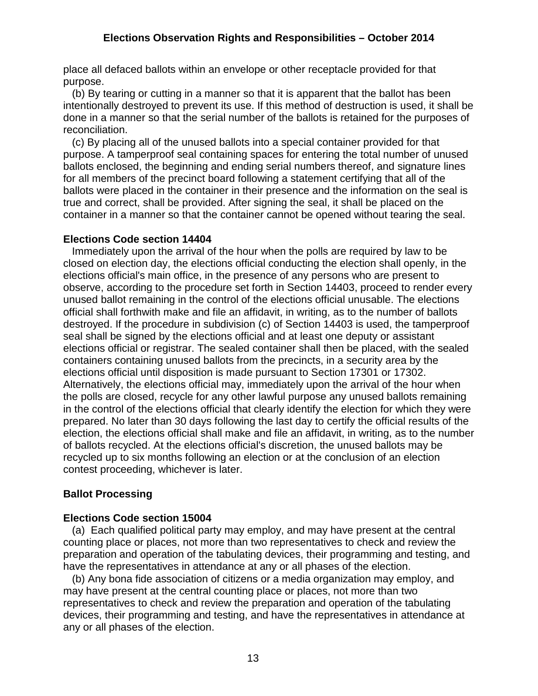place all defaced ballots within an envelope or other receptacle provided for that purpose.

 (b) By tearing or cutting in a manner so that it is apparent that the ballot has been intentionally destroyed to prevent its use. If this method of destruction is used, it shall be done in a manner so that the serial number of the ballots is retained for the purposes of reconciliation.

 (c) By placing all of the unused ballots into a special container provided for that purpose. A tamperproof seal containing spaces for entering the total number of unused ballots enclosed, the beginning and ending serial numbers thereof, and signature lines for all members of the precinct board following a statement certifying that all of the ballots were placed in the container in their presence and the information on the seal is true and correct, shall be provided. After signing the seal, it shall be placed on the container in a manner so that the container cannot be opened without tearing the seal.

# **Elections Code section 14404**

 Immediately upon the arrival of the hour when the polls are required by law to be closed on election day, the elections official conducting the election shall openly, in the elections official's main office, in the presence of any persons who are present to observe, according to the procedure set forth in Section 14403, proceed to render every unused ballot remaining in the control of the elections official unusable. The elections official shall forthwith make and file an affidavit, in writing, as to the number of ballots destroyed. If the procedure in subdivision (c) of Section 14403 is used, the tamperproof seal shall be signed by the elections official and at least one deputy or assistant elections official or registrar. The sealed container shall then be placed, with the sealed containers containing unused ballots from the precincts, in a security area by the elections official until disposition is made pursuant to Section 17301 or 17302. Alternatively, the elections official may, immediately upon the arrival of the hour when the polls are closed, recycle for any other lawful purpose any unused ballots remaining in the control of the elections official that clearly identify the election for which they were prepared. No later than 30 days following the last day to certify the official results of the election, the elections official shall make and file an affidavit, in writing, as to the number of ballots recycled. At the elections official's discretion, the unused ballots may be recycled up to six months following an election or at the conclusion of an election contest proceeding, whichever is later.

# **Ballot Processing**

### **Elections Code section 15004**

 (a) Each qualified political party may employ, and may have present at the central counting place or places, not more than two representatives to check and review the preparation and operation of the tabulating devices, their programming and testing, and have the representatives in attendance at any or all phases of the election.

 (b) Any bona fide association of citizens or a media organization may employ, and may have present at the central counting place or places, not more than two representatives to check and review the preparation and operation of the tabulating devices, their programming and testing, and have the representatives in attendance at any or all phases of the election.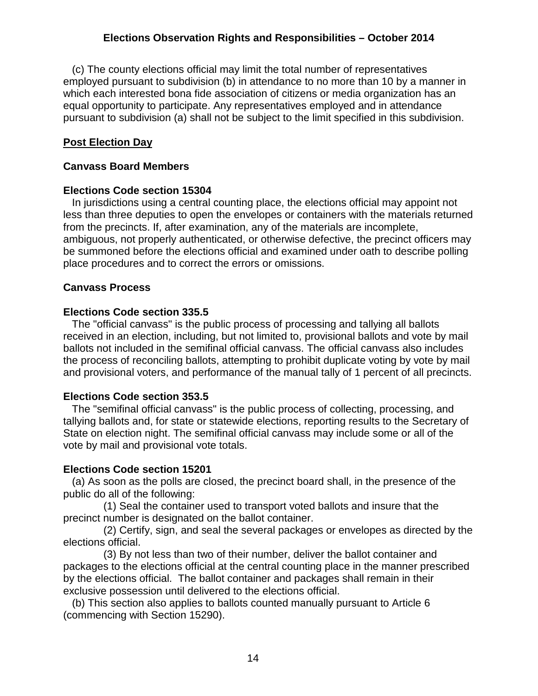(c) The county elections official may limit the total number of representatives employed pursuant to subdivision (b) in attendance to no more than 10 by a manner in which each interested bona fide association of citizens or media organization has an equal opportunity to participate. Any representatives employed and in attendance pursuant to subdivision (a) shall not be subject to the limit specified in this subdivision.

# **Post Election Day**

### **Canvass Board Members**

### **Elections Code section 15304**

 In jurisdictions using a central counting place, the elections official may appoint not less than three deputies to open the envelopes or containers with the materials returned from the precincts. If, after examination, any of the materials are incomplete, ambiguous, not properly authenticated, or otherwise defective, the precinct officers may be summoned before the elections official and examined under oath to describe polling place procedures and to correct the errors or omissions.

### **Canvass Process**

# **Elections Code section 335.5**

 The "official canvass" is the public process of processing and tallying all ballots received in an election, including, but not limited to, provisional ballots and vote by mail ballots not included in the semifinal official canvass. The official canvass also includes the process of reconciling ballots, attempting to prohibit duplicate voting by vote by mail and provisional voters, and performance of the manual tally of 1 percent of all precincts.

### **Elections Code section 353.5**

 The "semifinal official canvass" is the public process of collecting, processing, and tallying ballots and, for state or statewide elections, reporting results to the Secretary of State on election night. The semifinal official canvass may include some or all of the vote by mail and provisional vote totals.

### **Elections Code section 15201**

 (a) As soon as the polls are closed, the precinct board shall, in the presence of the public do all of the following:

 (1) Seal the container used to transport voted ballots and insure that the precinct number is designated on the ballot container.

 (2) Certify, sign, and seal the several packages or envelopes as directed by the elections official.

 (3) By not less than two of their number, deliver the ballot container and packages to the elections official at the central counting place in the manner prescribed by the elections official. The ballot container and packages shall remain in their exclusive possession until delivered to the elections official.

 (b) This section also applies to ballots counted manually pursuant to Article 6 (commencing with Section 15290).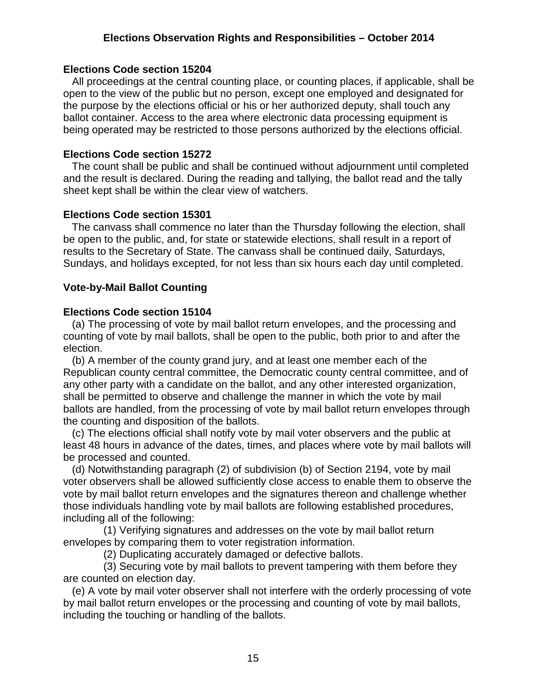#### **Elections Code section 15204**

 All proceedings at the central counting place, or counting places, if applicable, shall be open to the view of the public but no person, except one employed and designated for the purpose by the elections official or his or her authorized deputy, shall touch any ballot container. Access to the area where electronic data processing equipment is being operated may be restricted to those persons authorized by the elections official.

#### **Elections Code section 15272**

 The count shall be public and shall be continued without adjournment until completed and the result is declared. During the reading and tallying, the ballot read and the tally sheet kept shall be within the clear view of watchers.

#### **Elections Code section 15301**

 The canvass shall commence no later than the Thursday following the election, shall be open to the public, and, for state or statewide elections, shall result in a report of results to the Secretary of State. The canvass shall be continued daily, Saturdays, Sundays, and holidays excepted, for not less than six hours each day until completed.

#### **Vote-by-Mail Ballot Counting**

#### **Elections Code section 15104**

 (a) The processing of vote by mail ballot return envelopes, and the processing and counting of vote by mail ballots, shall be open to the public, both prior to and after the election.

 (b) A member of the county grand jury, and at least one member each of the Republican county central committee, the Democratic county central committee, and of any other party with a candidate on the ballot, and any other interested organization, shall be permitted to observe and challenge the manner in which the vote by mail ballots are handled, from the processing of vote by mail ballot return envelopes through the counting and disposition of the ballots.

 (c) The elections official shall notify vote by mail voter observers and the public at least 48 hours in advance of the dates, times, and places where vote by mail ballots will be processed and counted.

 (d) Notwithstanding paragraph (2) of subdivision (b) of Section 2194, vote by mail voter observers shall be allowed sufficiently close access to enable them to observe the vote by mail ballot return envelopes and the signatures thereon and challenge whether those individuals handling vote by mail ballots are following established procedures, including all of the following:

 (1) Verifying signatures and addresses on the vote by mail ballot return envelopes by comparing them to voter registration information.

(2) Duplicating accurately damaged or defective ballots.

 (3) Securing vote by mail ballots to prevent tampering with them before they are counted on election day.

 (e) A vote by mail voter observer shall not interfere with the orderly processing of vote by mail ballot return envelopes or the processing and counting of vote by mail ballots, including the touching or handling of the ballots.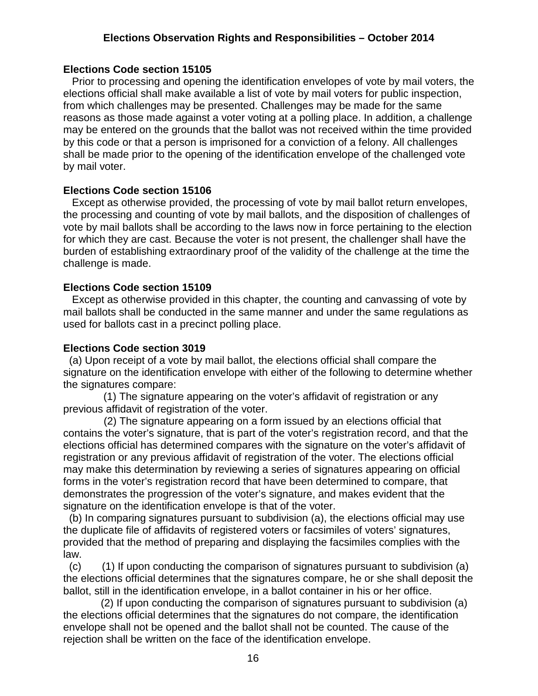### **Elections Code section 15105**

 Prior to processing and opening the identification envelopes of vote by mail voters, the elections official shall make available a list of vote by mail voters for public inspection, from which challenges may be presented. Challenges may be made for the same reasons as those made against a voter voting at a polling place. In addition, a challenge may be entered on the grounds that the ballot was not received within the time provided by this code or that a person is imprisoned for a conviction of a felony. All challenges shall be made prior to the opening of the identification envelope of the challenged vote by mail voter.

#### **Elections Code section 15106**

 Except as otherwise provided, the processing of vote by mail ballot return envelopes, the processing and counting of vote by mail ballots, and the disposition of challenges of vote by mail ballots shall be according to the laws now in force pertaining to the election for which they are cast. Because the voter is not present, the challenger shall have the burden of establishing extraordinary proof of the validity of the challenge at the time the challenge is made.

#### **Elections Code section 15109**

 Except as otherwise provided in this chapter, the counting and canvassing of vote by mail ballots shall be conducted in the same manner and under the same regulations as used for ballots cast in a precinct polling place.

#### **Elections Code section 3019**

 (a) Upon receipt of a vote by mail ballot, the elections official shall compare the signature on the identification envelope with either of the following to determine whether the signatures compare:

 (1) The signature appearing on the voter's affidavit of registration or any previous affidavit of registration of the voter.

 (2) The signature appearing on a form issued by an elections official that contains the voter's signature, that is part of the voter's registration record, and that the elections official has determined compares with the signature on the voter's affidavit of registration or any previous affidavit of registration of the voter. The elections official may make this determination by reviewing a series of signatures appearing on official forms in the voter's registration record that have been determined to compare, that demonstrates the progression of the voter's signature, and makes evident that the signature on the identification envelope is that of the voter.

 (b) In comparing signatures pursuant to subdivision (a), the elections official may use the duplicate file of affidavits of registered voters or facsimiles of voters' signatures, provided that the method of preparing and displaying the facsimiles complies with the law.

 $(c)$  (1) If upon conducting the comparison of signatures pursuant to subdivision (a) the elections official determines that the signatures compare, he or she shall deposit the ballot, still in the identification envelope, in a ballot container in his or her office.

 (2) If upon conducting the comparison of signatures pursuant to subdivision (a) the elections official determines that the signatures do not compare, the identification envelope shall not be opened and the ballot shall not be counted. The cause of the rejection shall be written on the face of the identification envelope.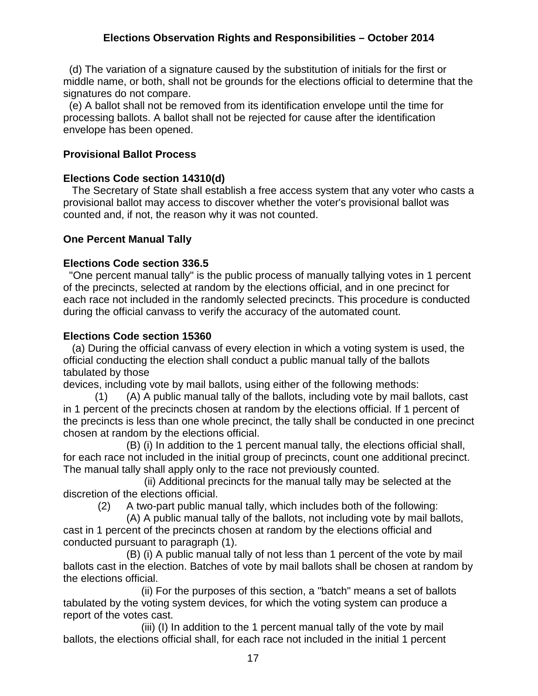(d) The variation of a signature caused by the substitution of initials for the first or middle name, or both, shall not be grounds for the elections official to determine that the signatures do not compare.

 (e) A ballot shall not be removed from its identification envelope until the time for processing ballots. A ballot shall not be rejected for cause after the identification envelope has been opened.

# **Provisional Ballot Process**

### **Elections Code section 14310(d)**

 The Secretary of State shall establish a free access system that any voter who casts a provisional ballot may access to discover whether the voter's provisional ballot was counted and, if not, the reason why it was not counted.

# **One Percent Manual Tally**

# **Elections Code section 336.5**

 "One percent manual tally" is the public process of manually tallying votes in 1 percent of the precincts, selected at random by the elections official, and in one precinct for each race not included in the randomly selected precincts. This procedure is conducted during the official canvass to verify the accuracy of the automated count.

### **Elections Code section 15360**

 (a) During the official canvass of every election in which a voting system is used, the official conducting the election shall conduct a public manual tally of the ballots tabulated by those

devices, including vote by mail ballots, using either of the following methods:

 (1) (A) A public manual tally of the ballots, including vote by mail ballots, cast in 1 percent of the precincts chosen at random by the elections official. If 1 percent of the precincts is less than one whole precinct, the tally shall be conducted in one precinct chosen at random by the elections official.

 (B) (i) In addition to the 1 percent manual tally, the elections official shall, for each race not included in the initial group of precincts, count one additional precinct. The manual tally shall apply only to the race not previously counted.

 (ii) Additional precincts for the manual tally may be selected at the discretion of the elections official.

(2) A two-part public manual tally, which includes both of the following:

 (A) A public manual tally of the ballots, not including vote by mail ballots, cast in 1 percent of the precincts chosen at random by the elections official and conducted pursuant to paragraph (1).

 (B) (i) A public manual tally of not less than 1 percent of the vote by mail ballots cast in the election. Batches of vote by mail ballots shall be chosen at random by the elections official.

 (ii) For the purposes of this section, a "batch" means a set of ballots tabulated by the voting system devices, for which the voting system can produce a report of the votes cast.

 (iii) (I) In addition to the 1 percent manual tally of the vote by mail ballots, the elections official shall, for each race not included in the initial 1 percent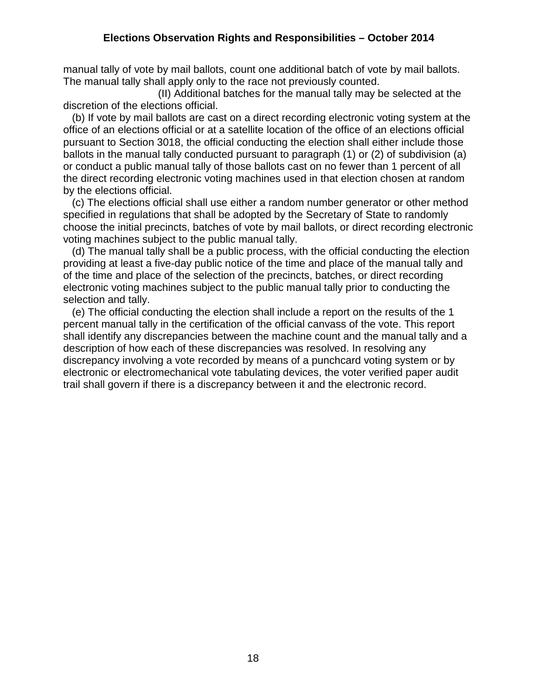manual tally of vote by mail ballots, count one additional batch of vote by mail ballots. The manual tally shall apply only to the race not previously counted.

 (II) Additional batches for the manual tally may be selected at the discretion of the elections official.

 (b) If vote by mail ballots are cast on a direct recording electronic voting system at the office of an elections official or at a satellite location of the office of an elections official pursuant to Section 3018, the official conducting the election shall either include those ballots in the manual tally conducted pursuant to paragraph (1) or (2) of subdivision (a) or conduct a public manual tally of those ballots cast on no fewer than 1 percent of all the direct recording electronic voting machines used in that election chosen at random by the elections official.

 (c) The elections official shall use either a random number generator or other method specified in regulations that shall be adopted by the Secretary of State to randomly choose the initial precincts, batches of vote by mail ballots, or direct recording electronic voting machines subject to the public manual tally.

 (d) The manual tally shall be a public process, with the official conducting the election providing at least a five-day public notice of the time and place of the manual tally and of the time and place of the selection of the precincts, batches, or direct recording electronic voting machines subject to the public manual tally prior to conducting the selection and tally.

 (e) The official conducting the election shall include a report on the results of the 1 percent manual tally in the certification of the official canvass of the vote. This report shall identify any discrepancies between the machine count and the manual tally and a description of how each of these discrepancies was resolved. In resolving any discrepancy involving a vote recorded by means of a punchcard voting system or by electronic or electromechanical vote tabulating devices, the voter verified paper audit trail shall govern if there is a discrepancy between it and the electronic record.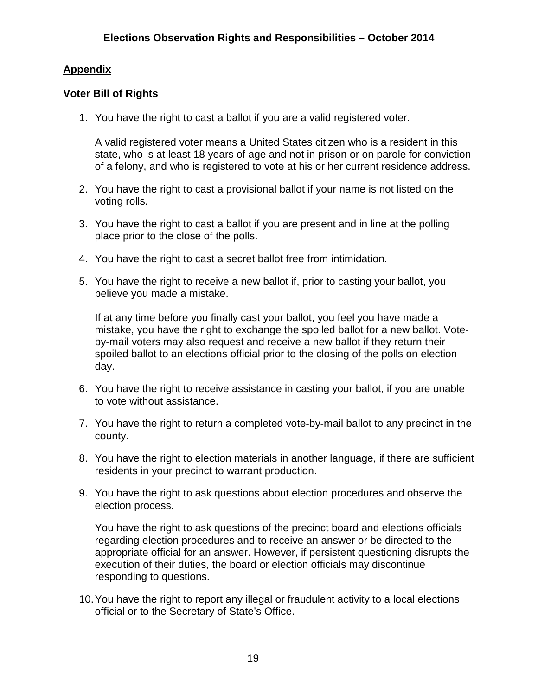# **Appendix**

# **Voter Bill of Rights**

1. You have the right to cast a ballot if you are a valid registered voter.

A valid registered voter means a United States citizen who is a resident in this state, who is at least 18 years of age and not in prison or on parole for conviction of a felony, and who is registered to vote at his or her current residence address.

- 2. You have the right to cast a provisional ballot if your name is not listed on the voting rolls.
- 3. You have the right to cast a ballot if you are present and in line at the polling place prior to the close of the polls.
- 4. You have the right to cast a secret ballot free from intimidation.
- 5. You have the right to receive a new ballot if, prior to casting your ballot, you believe you made a mistake.

If at any time before you finally cast your ballot, you feel you have made a mistake, you have the right to exchange the spoiled ballot for a new ballot. Voteby-mail voters may also request and receive a new ballot if they return their spoiled ballot to an elections official prior to the closing of the polls on election day.

- 6. You have the right to receive assistance in casting your ballot, if you are unable to vote without assistance.
- 7. You have the right to return a completed vote-by-mail ballot to any precinct in the county.
- 8. You have the right to election materials in another language, if there are sufficient residents in your precinct to warrant production.
- 9. You have the right to ask questions about election procedures and observe the election process.

You have the right to ask questions of the precinct board and elections officials regarding election procedures and to receive an answer or be directed to the appropriate official for an answer. However, if persistent questioning disrupts the execution of their duties, the board or election officials may discontinue responding to questions.

10.You have the right to report any illegal or fraudulent activity to a local elections official or to the Secretary of State's Office.